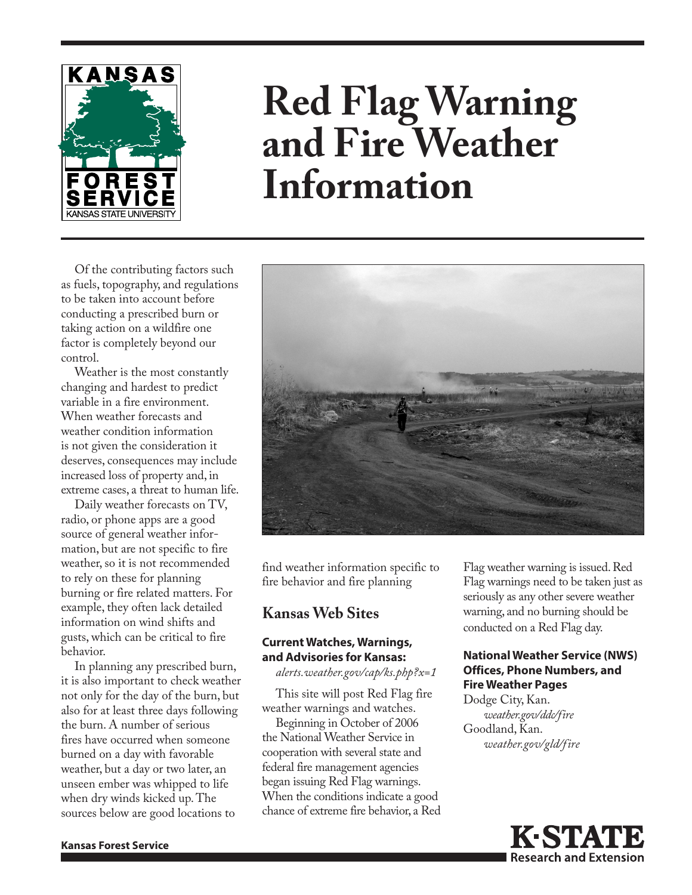

# **Red Flag Warning and Fire Weather Information**

Of the contributing factors such as fuels, topography, and regulations to be taken into account before conducting a prescribed burn or taking action on a wildfire one factor is completely beyond our control.

Weather is the most constantly changing and hardest to predict variable in a fire environment. When weather forecasts and weather condition information is not given the consideration it deserves, consequences may include increased loss of property and, in extreme cases, a threat to human life.

Daily weather forecasts on TV, radio, or phone apps are a good source of general weather information, but are not specific to fire weather, so it is not recommended to rely on these for planning burning or fire related matters. For example, they often lack detailed information on wind shifts and gusts, which can be critical to fire behavior.

In planning any prescribed burn, it is also important to check weather not only for the day of the burn, but also for at least three days following the burn. A number of serious fires have occurred when someone burned on a day with favorable weather, but a day or two later, an unseen ember was whipped to life when dry winds kicked up. The sources below are good locations to



find weather information specific to fire behavior and fire planning

# **Kansas Web Sites**

#### **Current Watches, Warnings, and Advisories for Kansas:**

*[alerts.weather.gov/cap/ks.php?x=1](https://alerts.weather.gov/cap/ks.php?x=1)*

This site will post Red Flag fire weather warnings and watches.

Beginning in October of 2006 the National Weather Service in cooperation with several state and federal fire management agencies began issuing Red Flag warnings. When the conditions indicate a good chance of extreme fire behavior, a Red Flag weather warning is issued. Red Flag warnings need to be taken just as seriously as any other severe weather warning, and no burning should be conducted on a Red Flag day.

### **National Weather Service (NWS) Offices, Phone Numbers, and Fire Weather Pages**

Dodge City, Kan. *[weather.gov/ddc/fire](http://weather.gov/ddc/fire)* Goodland, Kan. *[weather.gov/gld/fire](http://weather.gov/gld/fire)*